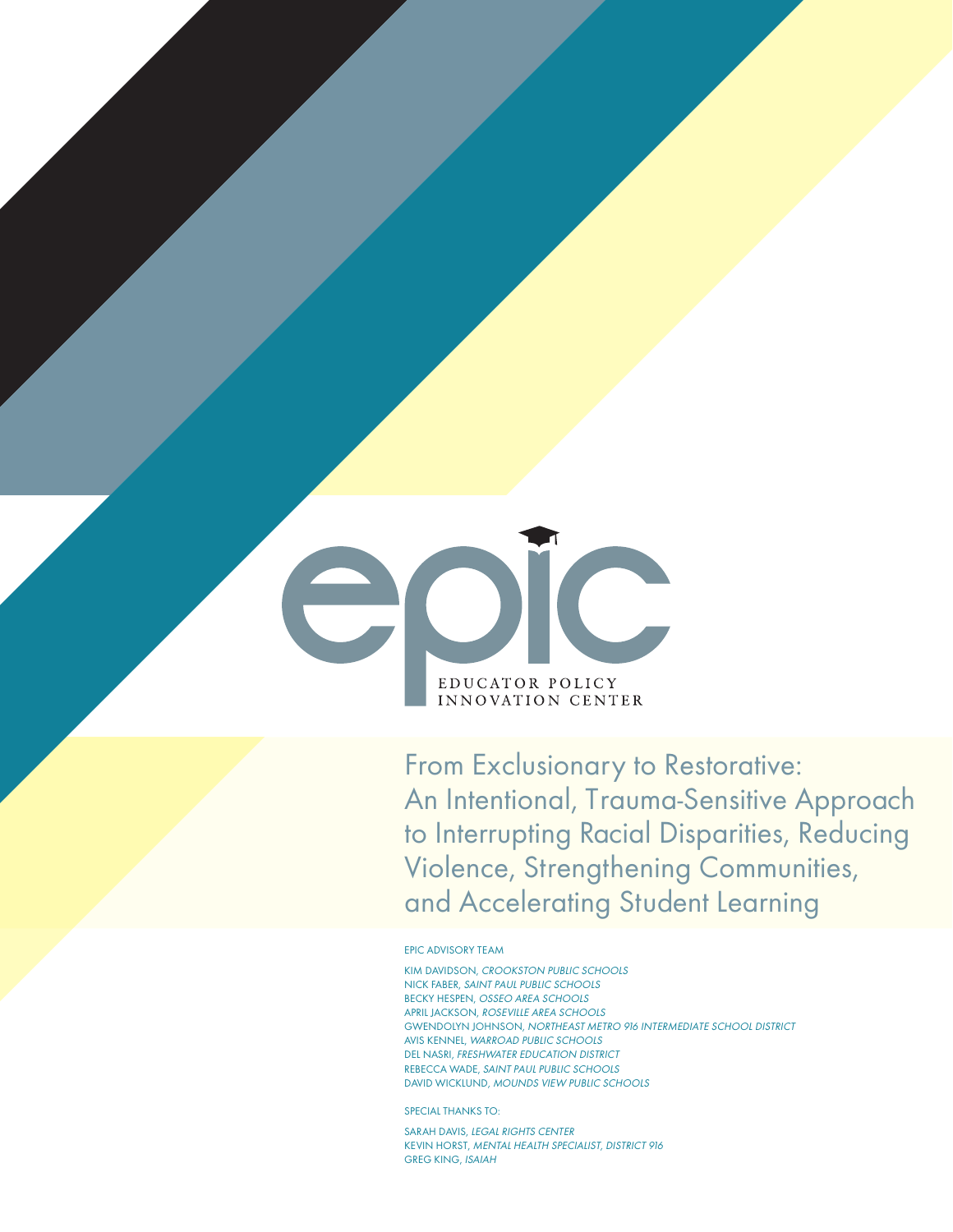

From Exclusionary to Restorative: An Intentional, Trauma-Sensitive Approach to Interrupting Racial Disparities, Reducing Violence, Strengthening Communities, and Accelerating Student Learning

#### EPIC ADVISORY TEAM

KIM DAVIDSON, CROOKSTON PUBLIC SCHOOLS NICK FABER, SAINT PAUL PUBLIC SCHOOLS BECKY HESPEN, OSSEO AREA SCHOOLS APRIL JACKSON, ROSEVILLE AREA SCHOOLS GWENDOLYN JOHNSON, NORTHEAST METRO 916 INTERMEDIATE SCHOOL DISTRICT AVIS KENNEL, WARROAD PUBLIC SCHOOLS DEL NASRI, FRESHWATER EDUCATION DISTRICT REBECCA WADE, SAINT PAUL PUBLIC SCHOOLS DAVID WICKLUND, MOUNDS VIEW PUBLIC SCHOOLS

SPECIAL THANKS TO:

SARAH DAVIS, LEGAL RIGHTS CENTER KEVIN HORST, MENTAL HEALTH SPECIALIST, DISTRICT 916 GREG KING, ISAIAH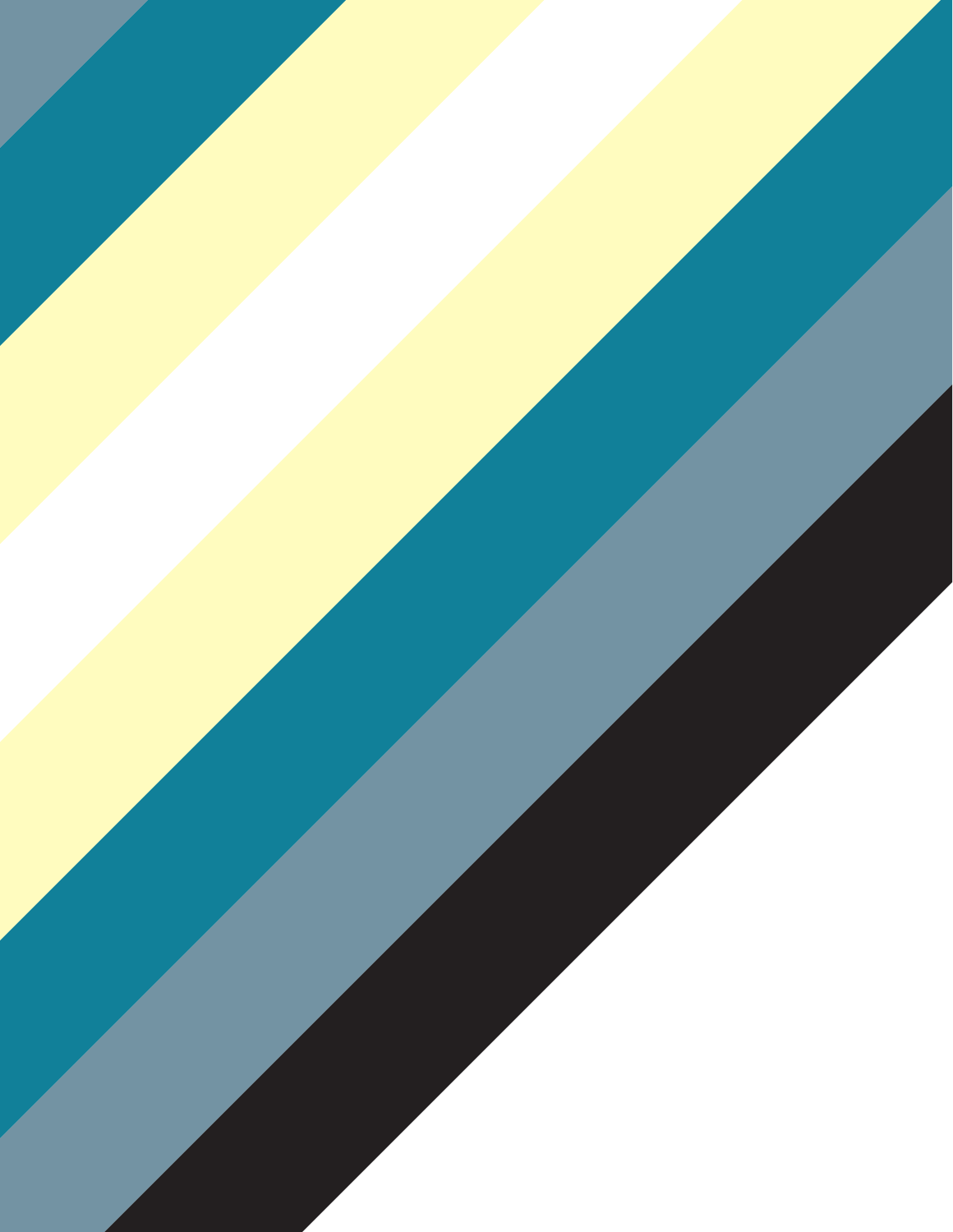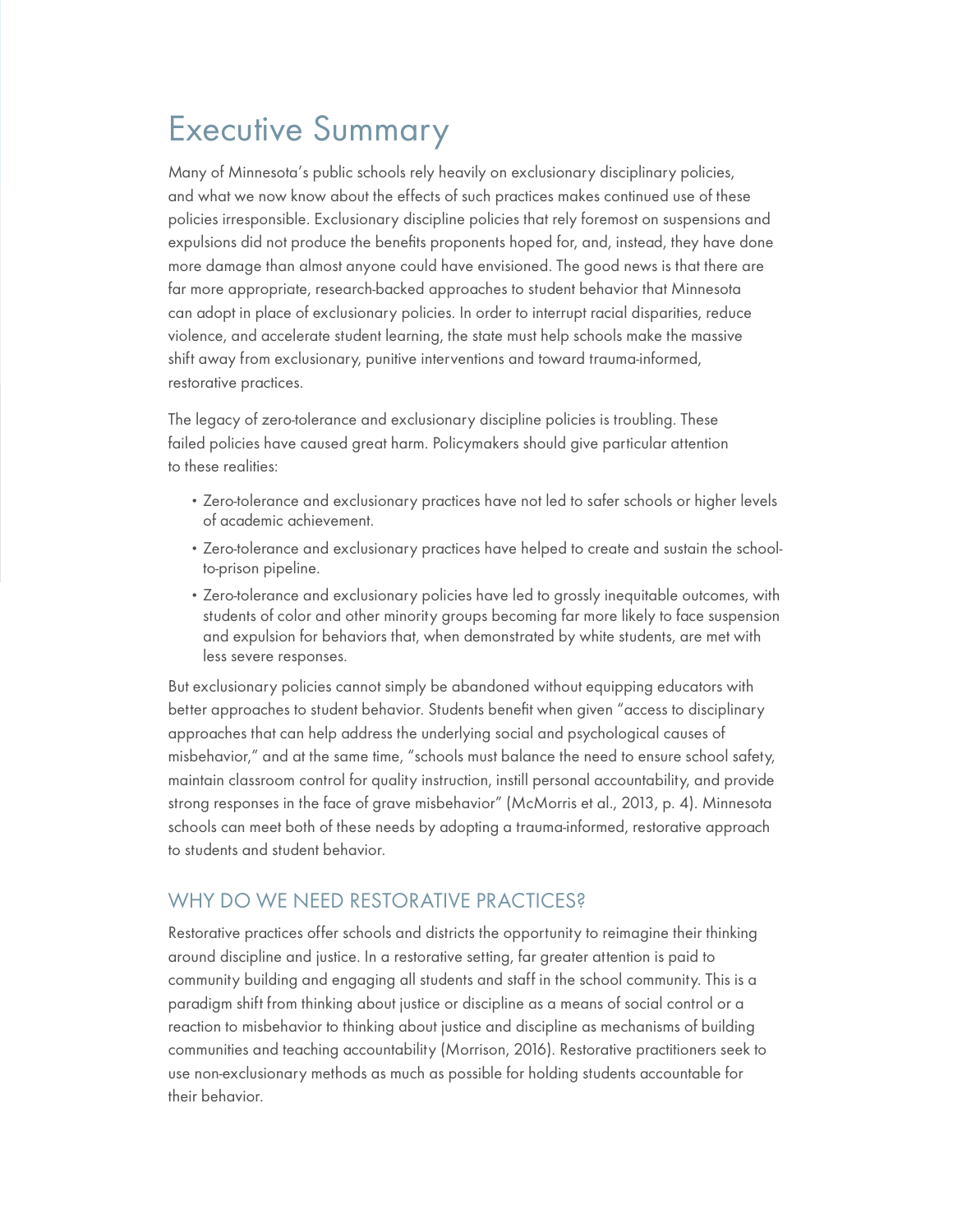# Executive Summary

Many of Minnesota's public schools rely heavily on exclusionary disciplinary policies, and what we now know about the effects of such practices makes continued use of these policies irresponsible. Exclusionary discipline policies that rely foremost on suspensions and expulsions did not produce the benefits proponents hoped for, and, instead, they have done more damage than almost anyone could have envisioned. The good news is that there are far more appropriate, research-backed approaches to student behavior that Minnesota can adopt in place of exclusionary policies. In order to interrupt racial disparities, reduce violence, and accelerate student learning, the state must help schools make the massive shift away from exclusionary, punitive interventions and toward trauma-informed, restorative practices.

The legacy of zero-tolerance and exclusionary discipline policies is troubling. These failed policies have caused great harm. Policymakers should give particular attention to these realities:

- •Zero-tolerance and exclusionary practices have not led to safer schools or higher levels of academic achievement.
- •Zero-tolerance and exclusionary practices have helped to create and sustain the schoolto-prison pipeline.
- •Zero-tolerance and exclusionary policies have led to grossly inequitable outcomes, with students of color and other minority groups becoming far more likely to face suspension and expulsion for behaviors that, when demonstrated by white students, are met with less severe responses.

But exclusionary policies cannot simply be abandoned without equipping educators with better approaches to student behavior. Students benefit when given "access to disciplinary approaches that can help address the underlying social and psychological causes of misbehavior," and at the same time, "schools must balance the need to ensure school safety, maintain classroom control for quality instruction, instill personal accountability, and provide strong responses in the face of grave misbehavior" (McMorris et al., 2013, p. 4). Minnesota schools can meet both of these needs by adopting a trauma-informed, restorative approach to students and student behavior.

## WHY DO WE NEED RESTORATIVE PRACTICES?

Restorative practices offer schools and districts the opportunity to reimagine their thinking around discipline and justice. In a restorative setting, far greater attention is paid to community building and engaging all students and staff in the school community. This is a paradigm shift from thinking about justice or discipline as a means of social control or a reaction to misbehavior to thinking about justice and discipline as mechanisms of building communities and teaching accountability (Morrison, 2016). Restorative practitioners seek to use non-exclusionary methods as much as possible for holding students accountable for their behavior.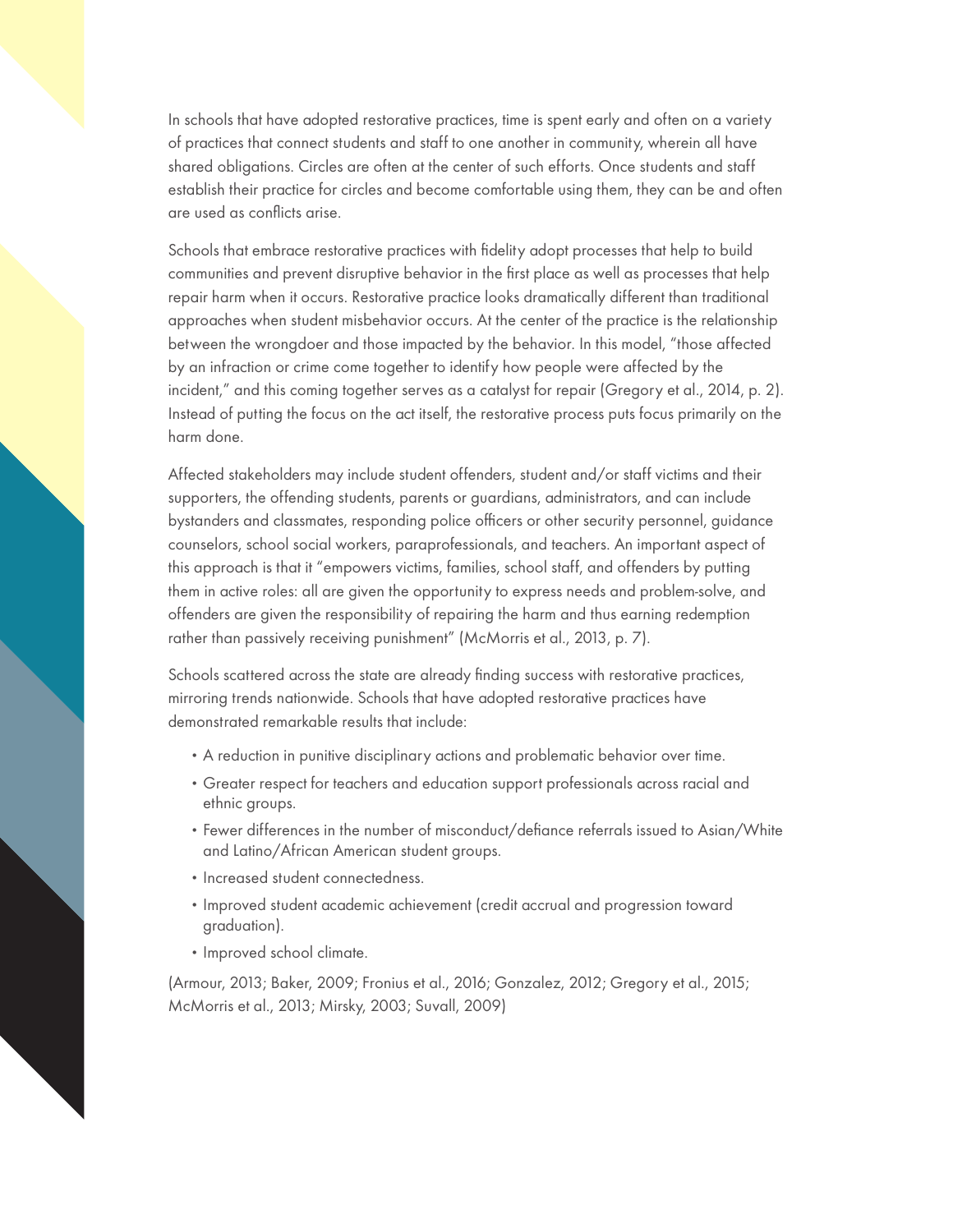In schools that have adopted restorative practices, time is spent early and often on a variety of practices that connect students and staff to one another in community, wherein all have shared obligations. Circles are often at the center of such efforts. Once students and staff establish their practice for circles and become comfortable using them, they can be and often are used as conflicts arise.

Schools that embrace restorative practices with fidelity adopt processes that help to build communities and prevent disruptive behavior in the first place as well as processes that help repair harm when it occurs. Restorative practice looks dramatically different than traditional approaches when student misbehavior occurs. At the center of the practice is the relationship between the wrongdoer and those impacted by the behavior. In this model, "those affected by an infraction or crime come together to identify how people were affected by the incident," and this coming together serves as a catalyst for repair (Gregory et al., 2014, p. 2). Instead of putting the focus on the act itself, the restorative process puts focus primarily on the harm done.

Affected stakeholders may include student offenders, student and/or staff victims and their supporters, the offending students, parents or guardians, administrators, and can include bystanders and classmates, responding police officers or other security personnel, guidance counselors, school social workers, paraprofessionals, and teachers. An important aspect of this approach is that it "empowers victims, families, school staff, and offenders by putting them in active roles: all are given the opportunity to express needs and problem-solve, and offenders are given the responsibility of repairing the harm and thus earning redemption rather than passively receiving punishment" (McMorris et al., 2013, p. 7).

Schools scattered across the state are already finding success with restorative practices, mirroring trends nationwide. Schools that have adopted restorative practices have demonstrated remarkable results that include:

- A reduction in punitive disciplinary actions and problematic behavior over time.
- Greater respect for teachers and education support professionals across racial and ethnic groups.
- •Fewer differences in the number of misconduct/defiance referrals issued to Asian/White and Latino/African American student groups.
- •Increased student connectedness.
- •Improved student academic achievement (credit accrual and progression toward graduation).
- •Improved school climate.

(Armour, 2013; Baker, 2009; Fronius et al., 2016; Gonzalez, 2012; Gregory et al., 2015; McMorris et al., 2013; Mirsky, 2003; Suvall, 2009)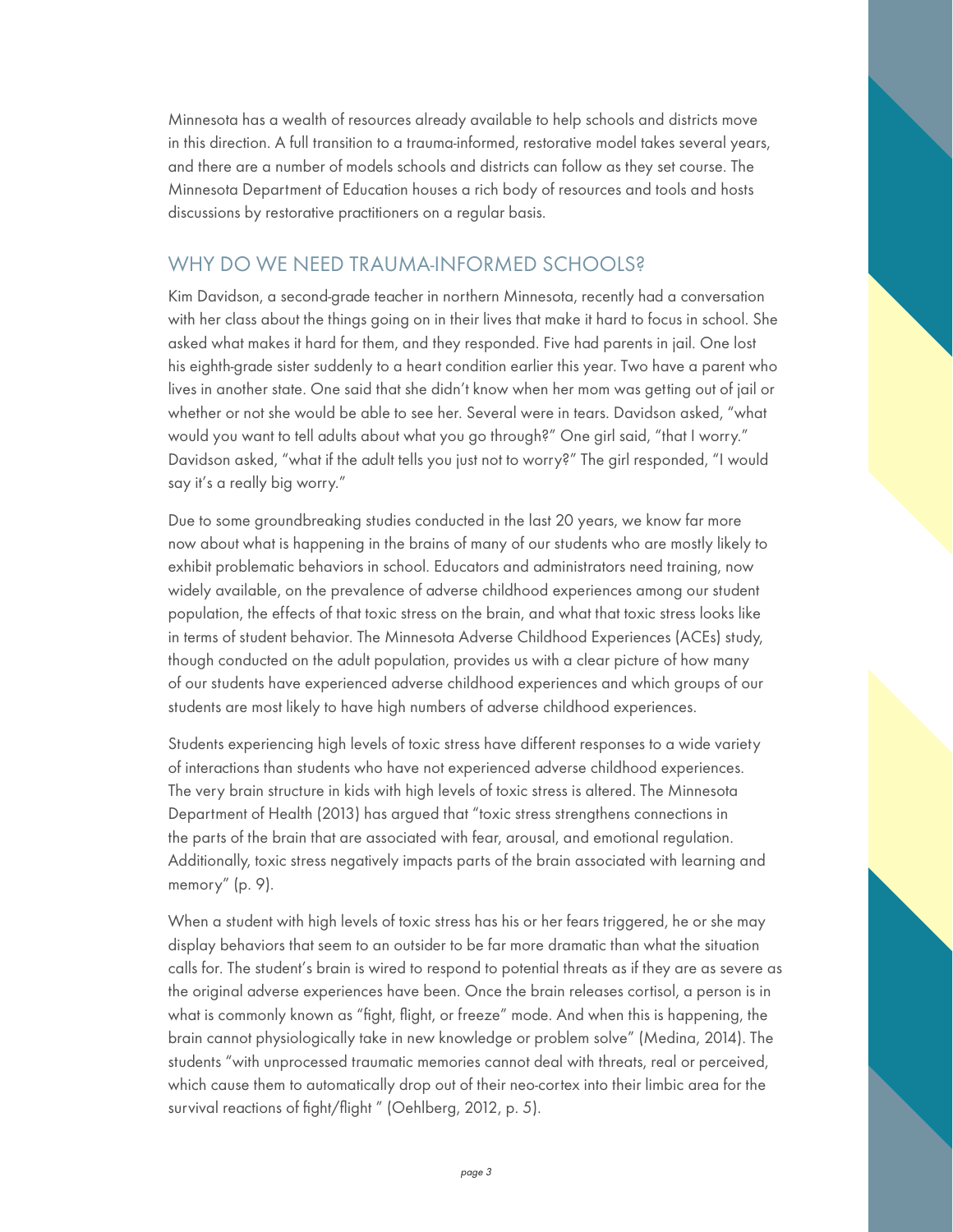Minnesota has a wealth of resources already available to help schools and districts move in this direction. A full transition to a trauma-informed, restorative model takes several years, and there are a number of models schools and districts can follow as they set course. The Minnesota Department of Education houses a rich body of resources and tools and hosts discussions by restorative practitioners on a regular basis.

### WHY DO WE NEED TRAUMA-INFORMED SCHOOLS?

Kim Davidson, a second-grade teacher in northern Minnesota, recently had a conversation with her class about the things going on in their lives that make it hard to focus in school. She asked what makes it hard for them, and they responded. Five had parents in jail. One lost his eighth-grade sister suddenly to a heart condition earlier this year. Two have a parent who lives in another state. One said that she didn't know when her mom was getting out of jail or whether or not she would be able to see her. Several were in tears. Davidson asked, "what would you want to tell adults about what you go through?" One girl said, "that I worry." Davidson asked, "what if the adult tells you just not to worry?" The girl responded, "I would say it's a really big worry."

Due to some groundbreaking studies conducted in the last 20 years, we know far more now about what is happening in the brains of many of our students who are mostly likely to exhibit problematic behaviors in school. Educators and administrators need training, now widely available, on the prevalence of adverse childhood experiences among our student population, the effects of that toxic stress on the brain, and what that toxic stress looks like in terms of student behavior. The Minnesota Adverse Childhood Experiences (ACEs) study, though conducted on the adult population, provides us with a clear picture of how many of our students have experienced adverse childhood experiences and which groups of our students are most likely to have high numbers of adverse childhood experiences.

Students experiencing high levels of toxic stress have different responses to a wide variety of interactions than students who have not experienced adverse childhood experiences. The very brain structure in kids with high levels of toxic stress is altered. The Minnesota Department of Health (2013) has argued that "toxic stress strengthens connections in the parts of the brain that are associated with fear, arousal, and emotional regulation. Additionally, toxic stress negatively impacts parts of the brain associated with learning and memory" (p. 9).

When a student with high levels of toxic stress has his or her fears triggered, he or she may display behaviors that seem to an outsider to be far more dramatic than what the situation calls for. The student's brain is wired to respond to potential threats as if they are as severe as the original adverse experiences have been. Once the brain releases cortisol, a person is in what is commonly known as "fight, flight, or freeze" mode. And when this is happening, the brain cannot physiologically take in new knowledge or problem solve" (Medina, 2014). The students "with unprocessed traumatic memories cannot deal with threats, real or perceived, which cause them to automatically drop out of their neo-cortex into their limbic area for the survival reactions of fight/flight " (Oehlberg, 2012, p. 5).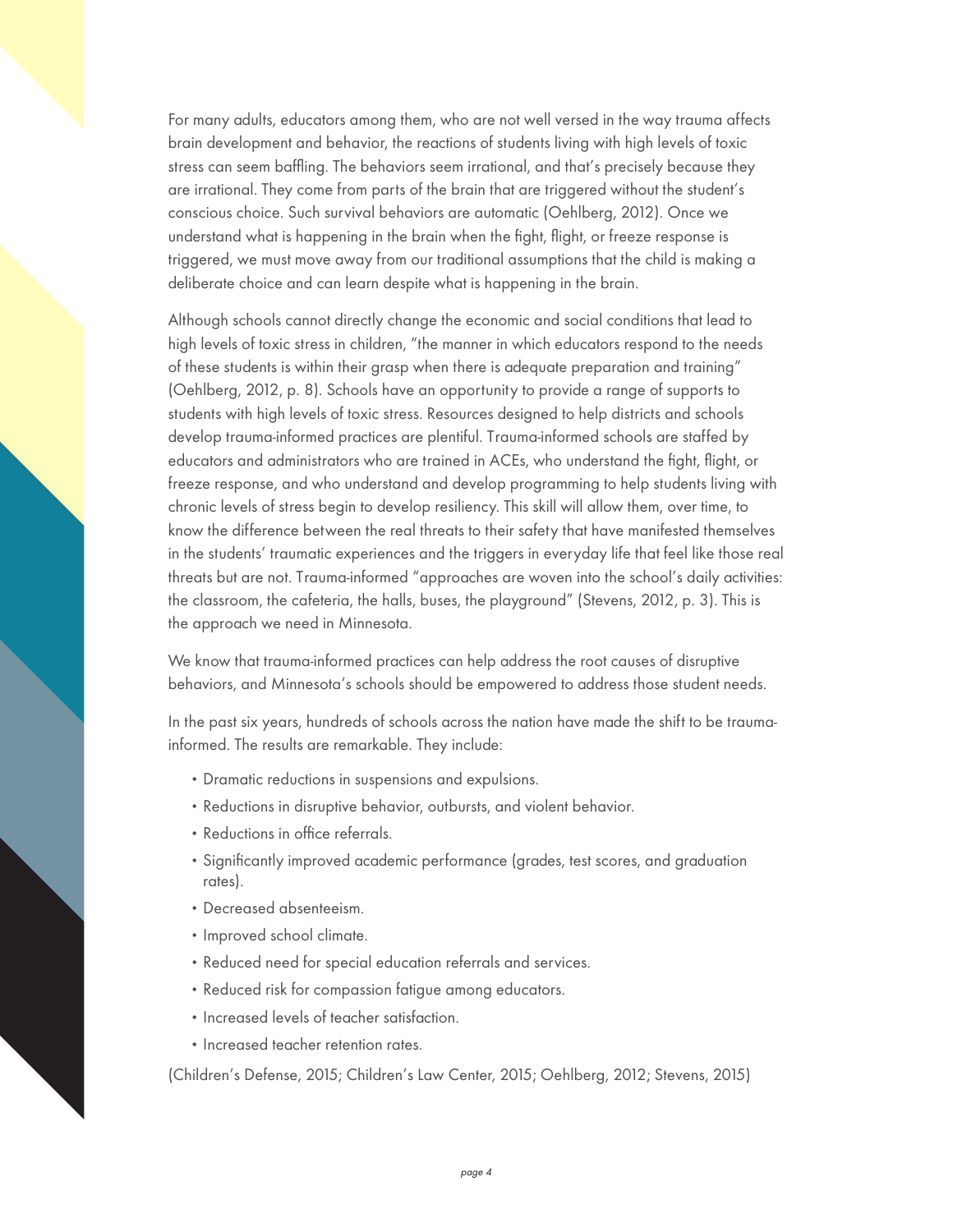For many adults, educators among them, who are not well versed in the way trauma affects brain development and behavior, the reactions of students living with high levels of toxic stress can seem baffling. The behaviors seem irrational, and that's precisely because they are irrational. They come from parts of the brain that are triggered without the student's conscious choice. Such survival behaviors are automatic (Oehlberg, 2012). Once we understand what is happening in the brain when the fight, flight, or freeze response is triggered, we must move away from our traditional assumptions that the child is making a deliberate choice and can learn despite what is happening in the brain.

Although schools cannot directly change the economic and social conditions that lead to high levels of toxic stress in children, "the manner in which educators respond to the needs of these students is within their grasp when there is adequate preparation and training" (Oehlberg, 2012, p. 8). Schools have an opportunity to provide a range of supports to students with high levels of toxic stress. Resources designed to help districts and schools develop trauma-informed practices are plentiful. Trauma-informed schools are staffed by educators and administrators who are trained in ACEs, who understand the fight, flight, or freeze response, and who understand and develop programming to help students living with chronic levels of stress begin to develop resiliency. This skill will allow them, over time, to know the difference between the real threats to their safety that have manifested themselves in the students' traumatic experiences and the triggers in everyday life that feel like those real threats but are not. Trauma-informed "approaches are woven into the school's daily activities: the classroom, the cafeteria, the halls, buses, the playground" (Stevens, 2012, p. 3). This is the approach we need in Minnesota.

We know that trauma-informed practices can help address the root causes of disruptive behaviors, and Minnesota's schools should be empowered to address those student needs.

In the past six years, hundreds of schools across the nation have made the shift to be traumainformed. The results are remarkable. They include:

- Dramatic reductions in suspensions and expulsions.
- •Reductions in disruptive behavior, outbursts, and violent behavior.
- •Reductions in office referrals.
- •Significantly improved academic performance (grades, test scores, and graduation rates).
- Decreased absenteeism.
- •Improved school climate.
- •Reduced need for special education referrals and services.
- •Reduced risk for compassion fatigue among educators.
- •Increased levels of teacher satisfaction.
- Increased teacher retention rates.

(Children's Defense, 2015; Children's Law Center, 2015; Oehlberg, 2012; Stevens, 2015)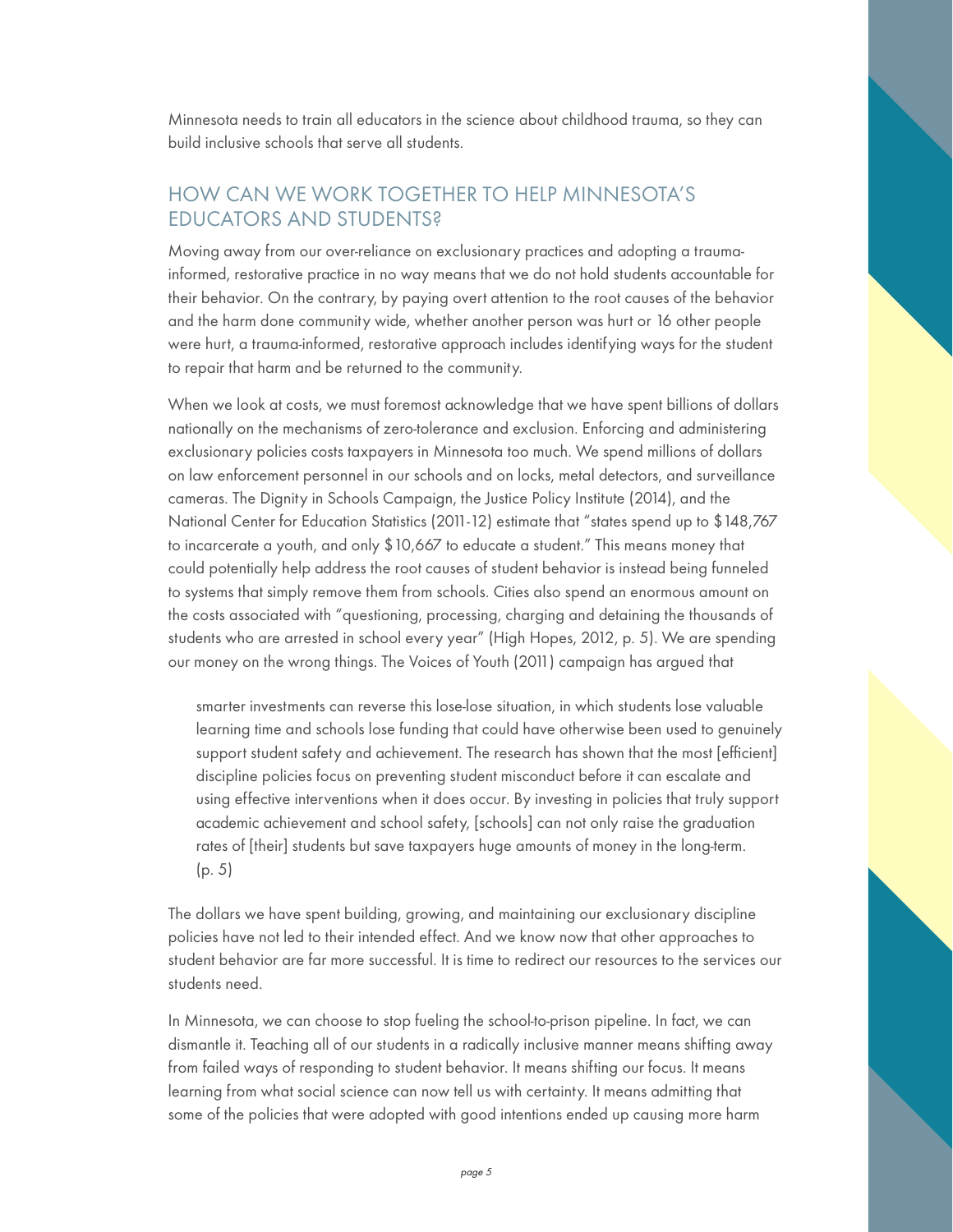Minnesota needs to train all educators in the science about childhood trauma, so they can build inclusive schools that serve all students.

#### HOW CAN WE WORK TOGETHER TO HELP MINNESOTA'S EDUCATORS AND STUDENTS?

Moving away from our over-reliance on exclusionary practices and adopting a traumainformed, restorative practice in no way means that we do not hold students accountable for their behavior. On the contrary, by paying overt attention to the root causes of the behavior and the harm done community wide, whether another person was hurt or 16 other people were hurt, a trauma-informed, restorative approach includes identifying ways for the student to repair that harm and be returned to the community.

When we look at costs, we must foremost acknowledge that we have spent billions of dollars nationally on the mechanisms of zero-tolerance and exclusion. Enforcing and administering exclusionary policies costs taxpayers in Minnesota too much. We spend millions of dollars on law enforcement personnel in our schools and on locks, metal detectors, and surveillance cameras. The Dignity in Schools Campaign, the Justice Policy Institute (2014), and the National Center for Education Statistics (2011-12) estimate that "states spend up to \$148,767 to incarcerate a youth, and only \$10,667 to educate a student." This means money that could potentially help address the root causes of student behavior is instead being funneled to systems that simply remove them from schools. Cities also spend an enormous amount on the costs associated with "questioning, processing, charging and detaining the thousands of students who are arrested in school every year" (High Hopes, 2012, p. 5). We are spending our money on the wrong things. The Voices of Youth (2011) campaign has argued that

smarter investments can reverse this lose-lose situation, in which students lose valuable learning time and schools lose funding that could have otherwise been used to genuinely support student safety and achievement. The research has shown that the most [efficient] discipline policies focus on preventing student misconduct before it can escalate and using effective interventions when it does occur. By investing in policies that truly support academic achievement and school safety, [schools] can not only raise the graduation rates of [their] students but save taxpayers huge amounts of money in the long-term. (p. 5)

The dollars we have spent building, growing, and maintaining our exclusionary discipline policies have not led to their intended effect. And we know now that other approaches to student behavior are far more successful. It is time to redirect our resources to the services our students need.

In Minnesota, we can choose to stop fueling the school-to-prison pipeline. In fact, we can dismantle it. Teaching all of our students in a radically inclusive manner means shifting away from failed ways of responding to student behavior. It means shifting our focus. It means learning from what social science can now tell us with certainty. It means admitting that some of the policies that were adopted with good intentions ended up causing more harm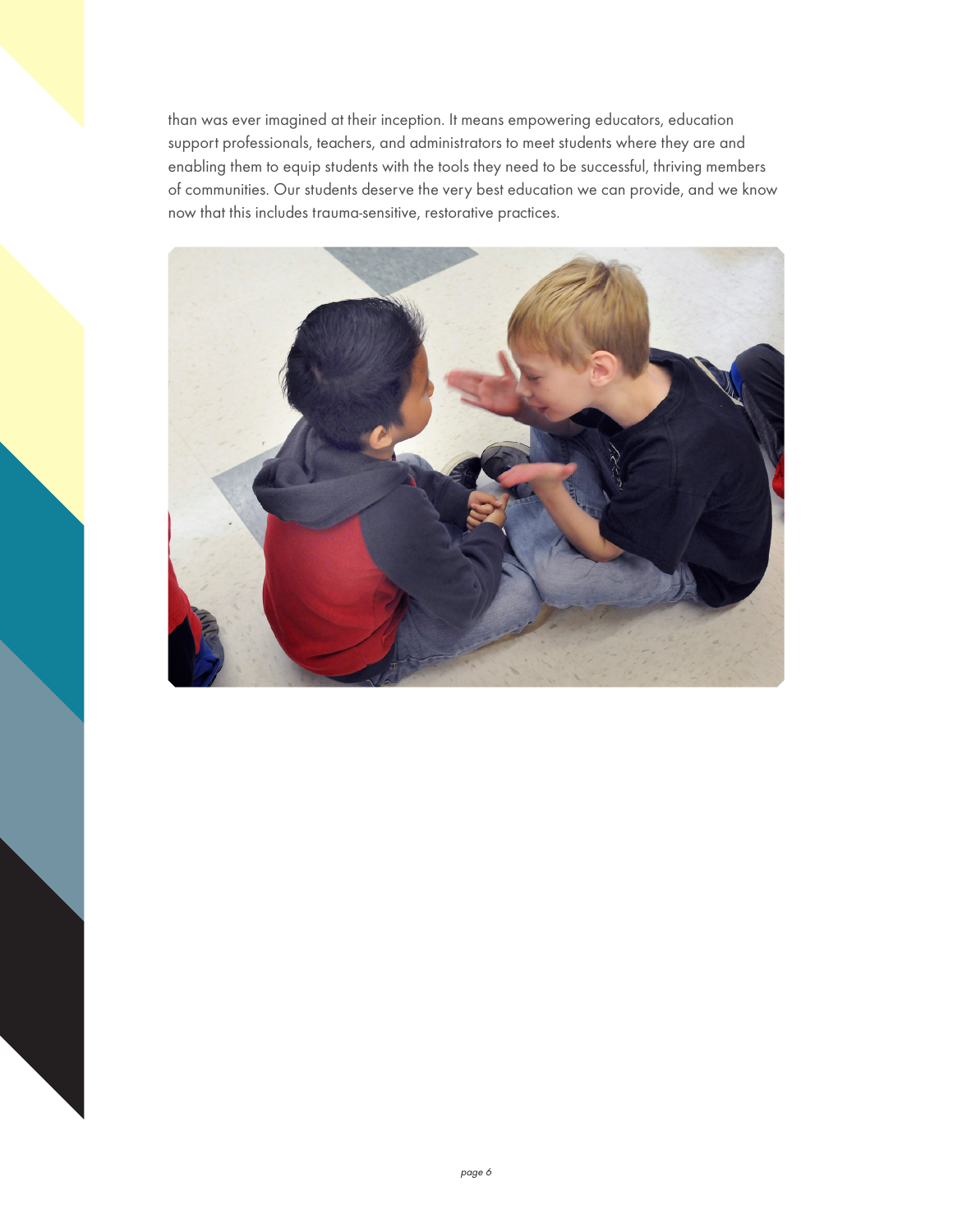than was ever imagined at their inception. It means empowering educators, education support professionals, teachers, and administrators to meet students where they are and enabling them to equip students with the tools they need to be successful, thriving members of communities. Our students deserve the very best education we can provide, and we know now that this includes trauma-sensitive, restorative practices.

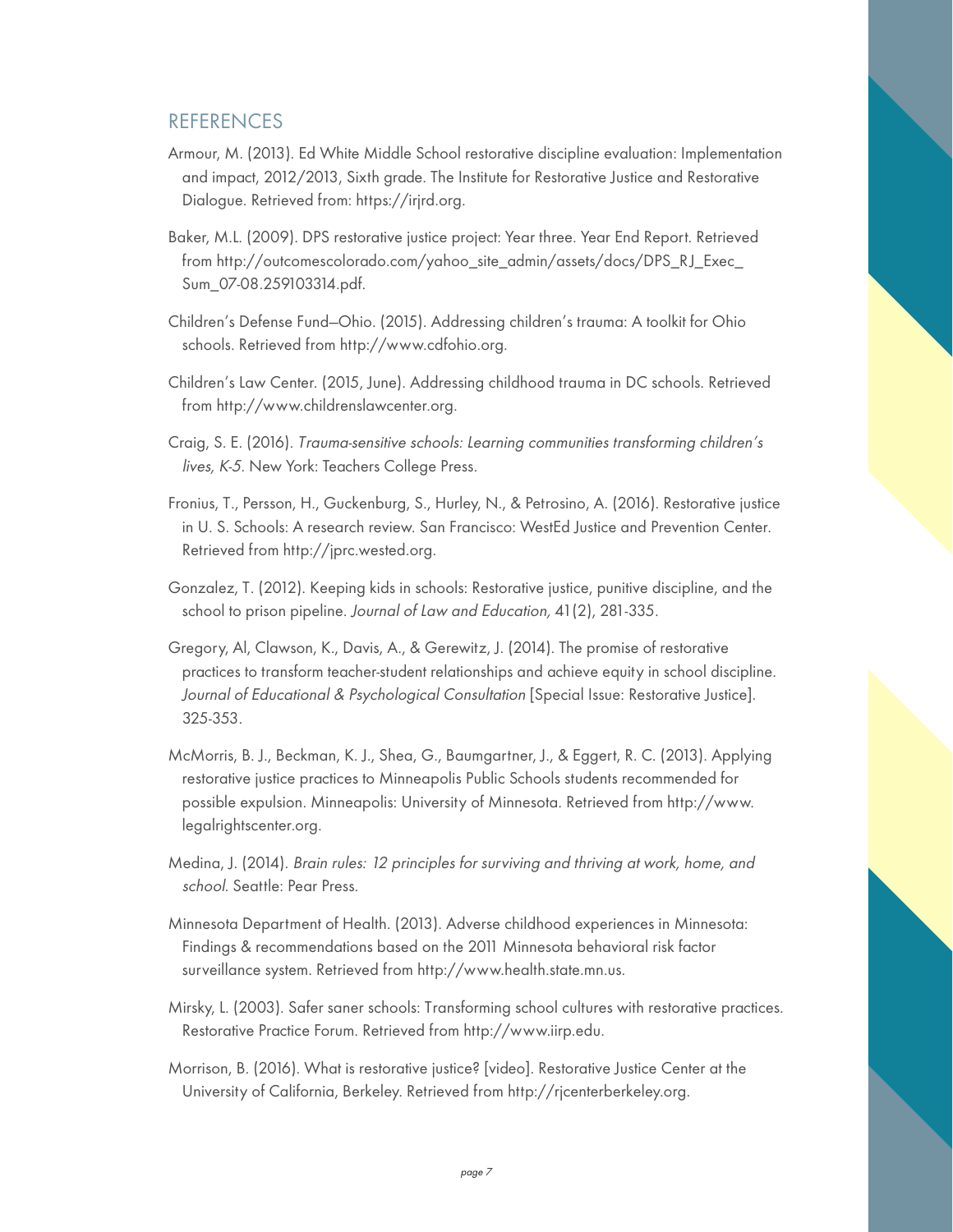#### REFERENCES

- Armour, M. (2013). Ed White Middle School restorative discipline evaluation: Implementation and impact, 2012/2013, Sixth grade. The Institute for Restorative Justice and Restorative Dialogue. Retrieved from: https://irjrd.org.
- Baker, M.L. (2009). DPS restorative justice project: Year three. Year End Report. Retrieved from http://outcomescolorado.com/yahoo\_site\_admin/assets/docs/DPS\_RJ\_Exec\_ Sum\_07-08.259103314.pdf.
- Children's Defense Fund—Ohio. (2015). Addressing children's trauma: A toolkit for Ohio schools. Retrieved from http://www.cdfohio.org.
- Children's Law Center. (2015, June). Addressing childhood trauma in DC schools. Retrieved from http://www.childrenslawcenter.org.
- Craig, S. E. (2016). Trauma-sensitive schools: Learning communities transforming children's lives, K-5. New York: Teachers College Press.
- Fronius, T., Persson, H., Guckenburg, S., Hurley, N., & Petrosino, A. (2016). Restorative justice in U. S. Schools: A research review. San Francisco: WestEd Justice and Prevention Center. Retrieved from http://jprc.wested.org.
- Gonzalez, T. (2012). Keeping kids in schools: Restorative justice, punitive discipline, and the school to prison pipeline. Journal of Law and Education, 41(2), 281-335.
- Gregory, Al, Clawson, K., Davis, A., & Gerewitz, J. (2014). The promise of restorative practices to transform teacher-student relationships and achieve equity in school discipline. Journal of Educational & Psychological Consultation [Special Issue: Restorative Justice]. 325-353.
- McMorris, B. J., Beckman, K. J., Shea, G., Baumgartner, J., & Eggert, R. C. (2013). Applying restorative justice practices to Minneapolis Public Schools students recommended for possible expulsion. Minneapolis: University of Minnesota. Retrieved from http://www. legalrightscenter.org.
- Medina, J. (2014). Brain rules: 12 principles for surviving and thriving at work, home, and school. Seattle: Pear Press.
- Minnesota Department of Health. (2013). Adverse childhood experiences in Minnesota: Findings & recommendations based on the 2011 Minnesota behavioral risk factor surveillance system. Retrieved from http://www.health.state.mn.us.
- Mirsky, L. (2003). Safer saner schools: Transforming school cultures with restorative practices. Restorative Practice Forum. Retrieved from http://www.iirp.edu.
- Morrison, B. (2016). What is restorative justice? [video]. Restorative Justice Center at the University of California, Berkeley. Retrieved from http://rjcenterberkeley.org.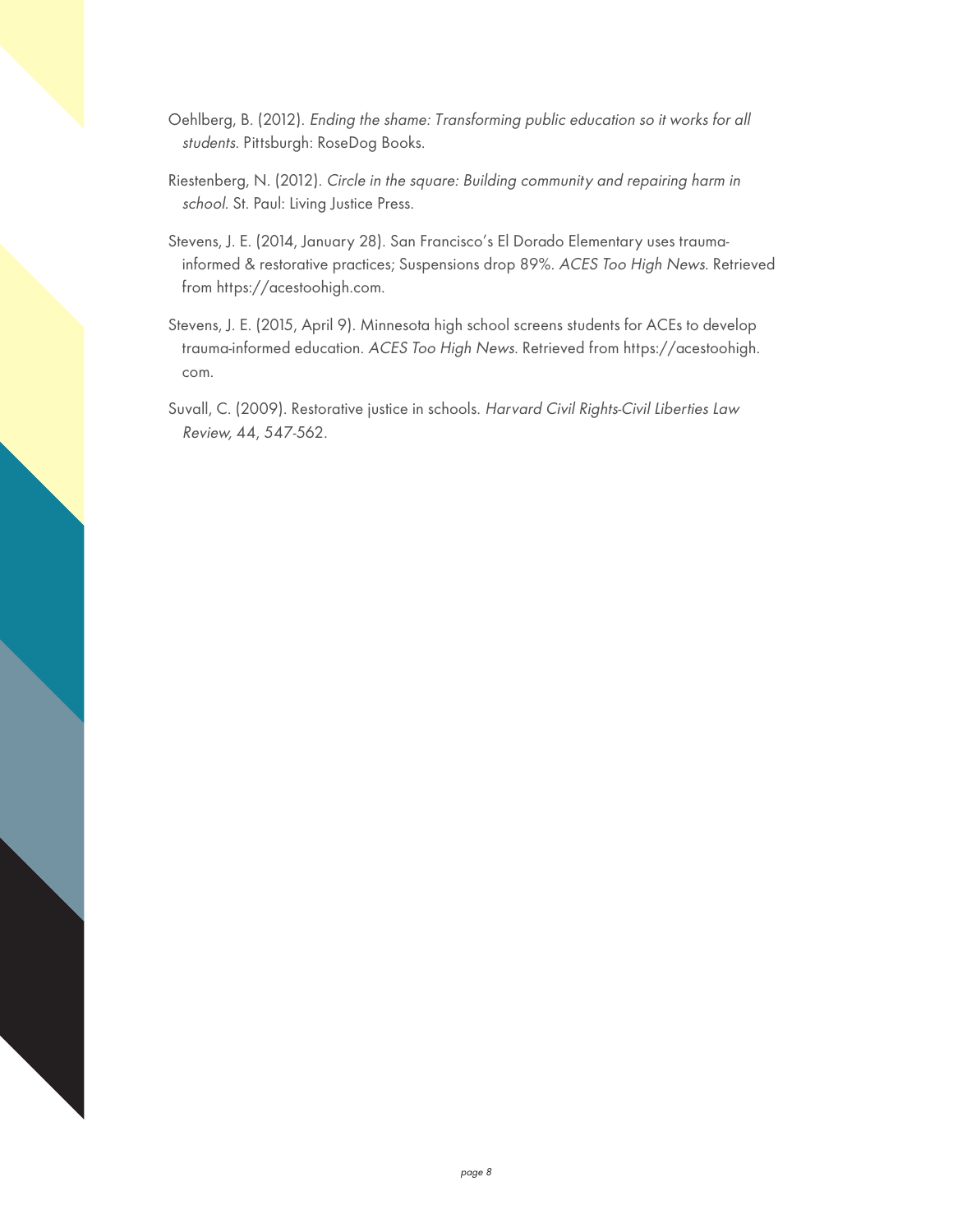- Oehlberg, B. (2012). Ending the shame: Transforming public education so it works for all students. Pittsburgh: RoseDog Books.
- Riestenberg, N. (2012). Circle in the square: Building community and repairing harm in school. St. Paul: Living Justice Press.
- Stevens, J. E. (2014, January 28). San Francisco's El Dorado Elementary uses traumainformed & restorative practices; Suspensions drop 89%. ACES Too High News. Retrieved from https://acestoohigh.com.
- Stevens, J. E. (2015, April 9). Minnesota high school screens students for ACEs to develop trauma-informed education. ACES Too High News. Retrieved from https://acestoohigh. com.
- Suvall, C. (2009). Restorative justice in schools. Harvard Civil Rights-Civil Liberties Law Review, 44, 547-562.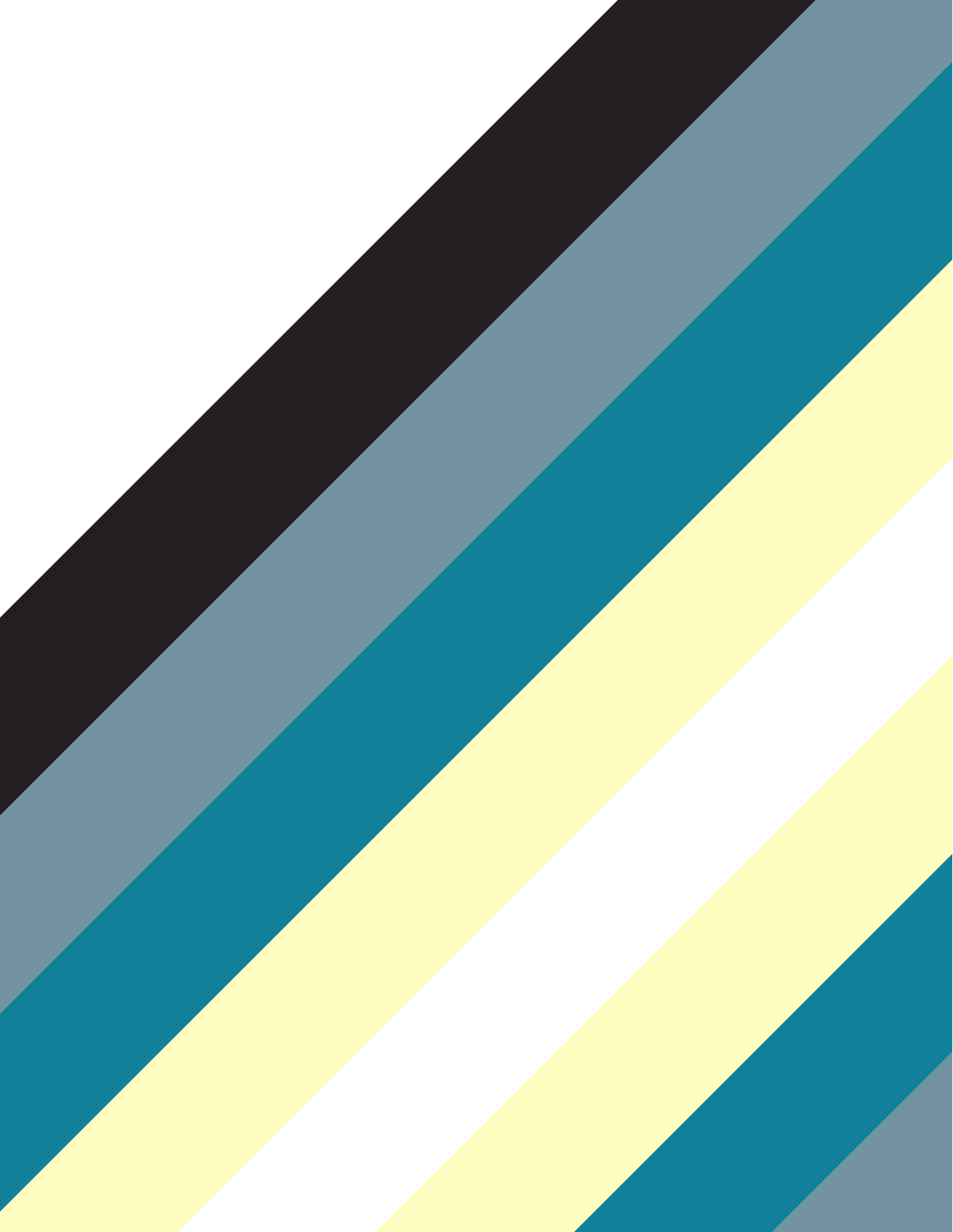